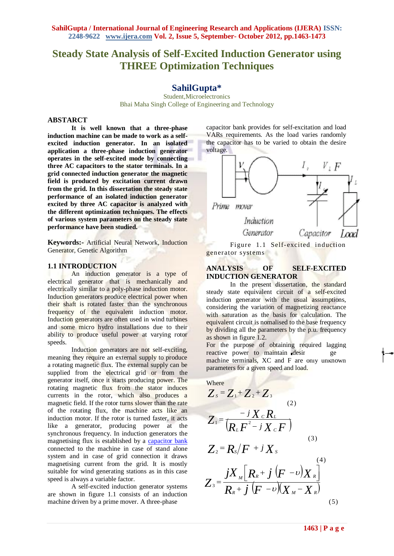# **Steady State Analysis of Self-Excited Induction Generator using THREE Optimization Techniques**

## **SahilGupta\***

Student,Microelectronics Bhai Maha Singh College of Engineering and Technology

#### **ABSTARCT**

**It is well known that a three-phase induction machine can be made to work as a selfexcited induction generator. In an isolated application a three-phase induction generator operates in the self-excited mode by connecting three AC capacitors to the stator terminals. In a grid connected induction generator the magnetic field is produced by excitation current drawn from the grid. In this dissertation the steady state performance of an isolated induction generator excited by three AC capacitor is analyzed with the different optimization techniques. The effects of various system parameters on the steady state performance have been studied.**

**Keywords:-** Artificial Neural Network, Induction Generator, Genetic Algorithm

## **1.1 INTRODUCTION**

An induction generator is a type of [electrical generator](file:///C:\wiki\Electrical_generator) that is mechanically and electrically similar to a [poly-phase](file:///C:\wiki\Polyphase_system) [induction motor.](file:///C:\wiki\Induction_motor%23Three-phase_AC_induction_motors) Induction generators produce electrical power when their shaft is rotated faster than the synchronous frequency of the equivalent induction motor. Induction generators are often used in [wind turbines](file:///C:\wiki\Wind_turbines) and some [micro hydro](file:///C:\wiki\Micro_hydro) installations due to their ability to produce useful power at varying rotor speeds.

Induction generators are not self-exciting, meaning they require an external supply to produce a rotating magnetic flux. The external supply can be supplied from the electrical grid or from the generator itself, once it starts producing power. The rotating magnetic flux from the stator induces currents in the rotor, which also produces a magnetic field. If the rotor turns slower than the rate of the rotating flux, the machine acts like an induction motor. If the rotor is turned faster, it acts like a generator, producing power at the synchronous frequency. In induction generators the magnetising flux is established by a [capacitor bank](file:///C:\wiki\Power_factor_correction_unit) connected to the machine in case of stand alone system and in case of grid connection it draws magnetising current from the grid. It is mostly suitable for wind generating stations as in this case speed is always a variable factor.

A self-excited induction generator systems are shown in figure 1.1 consists of an induction machine driven by a prime mover. A three-phase

capacitor bank provides for self-excitation and load VARs requirements. As the load varies randomly the capacitor has to be varied to obtain the desire voltage.



Figure 1.1 Self-excited induction generator systems

#### **ANALYSIS OF SELF-EXCITED INDUCTION GENERATOR**

In the present dissertation, the standard steady state equivalent circuit of a self-excited induction generator with the usual assumptions, considering the variation of magnetizing reactance with saturation as the basis for calculation. The equivalent circuit is nomalised to the base frequency by dividing all the parameters by the p.u. frequency as shown in figure 1.2.

For the purpose of obtaining required lagging reactive power to maintain desir machine terminals, XC and F are only unknown parameters for a given speed and load.

where  
\n
$$
Z_s = Z_1 + Z_2 + Z_3
$$
\n
$$
Z_1 = \frac{-j X_c R_L}{(R_L F^2 - j X_c F)}
$$
\n
$$
Z_2 = R_s/F + j X_s
$$
\n(3)  
\n
$$
Z_3 = \frac{j X_{M} [R_R + j (F - v) X_R]}{R_R + j (F - v) (X_M - X_R)}
$$
\n(5)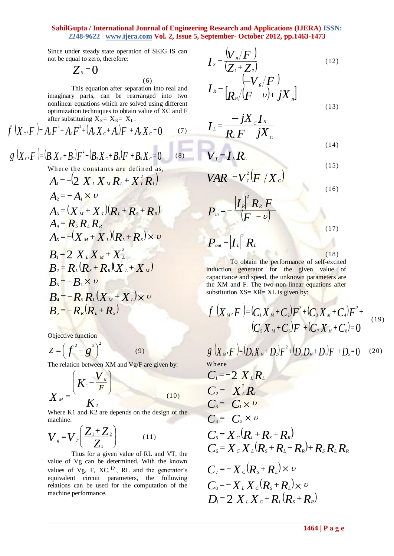Since under steady state operation of SEIG IS can not be equal to zero, therefore:

$$
Z_s=0
$$

This equation after separation into real and imaginary parts, can be rearranged into two nonlinear equations which are solved using different optimization techniques to obtain value of XC and F after substituting  $X_{S} = X_{R} = X_{L}$ .

(6)

$$
f(X_c, F) = A_1 F^3 + A_2 F^2 + (A_3 X_c + A_4) F + A_5 X_c = 0 \tag{7}
$$

$$
g(X_c, F) = (B_1 X_c + B_2) F^2 + (B_3 X_c + B_4) F + B_5 X_c = 0
$$
 (8)

Where the constants are defined as,

$$
A_{1} = -\left(2 X_{L} X_{M} R_{L} + X_{L}^{2} R_{L}\right)
$$
  
\n
$$
A_{2} = -A_{1} \times \nu
$$
  
\n
$$
A_{3} = (X_{M} + X_{L})(R_{L} + R_{S} + R_{R})
$$
  
\n
$$
A_{4} = R_{S} R_{L} R_{R}
$$
  
\n
$$
A_{5} = -(X_{M} + X_{L})(R_{L} + R_{S}) \times \nu
$$
  
\n
$$
B_{1} = 2 X_{L} X_{M} + X_{L}^{2}
$$
  
\n
$$
B_{2} = R_{L}(R_{S} + R_{R})(X_{L} + X_{M})
$$
  
\n
$$
B_{3} = -B_{1} \times \nu
$$
  
\n
$$
B_{4} = -R_{S} R_{L}(X_{M} + X_{L}) \times \nu
$$
  
\n
$$
B_{5} = -R_{R}(R_{L} + R_{S})
$$

Objective function

$$
Z = \left(f^2 + g^2\right)^2 \tag{9}
$$

The relation between XM and Vg/F are given by:

$$
X_{M} = \frac{\left(K_{1} - \frac{V_{s}}{F}\right)}{K_{2}}
$$
 (10)

Where K1 and K2 are depends on the design of the machine.

$$
V_s = V_r \left(\frac{Z_1 + Z_2}{Z_1}\right) \tag{11}
$$

Thus for a given value of RL and VT, the value of Vg can be determined. With the known values of Vg, F, XC,  $\mathcal{V}$ , RL and the generator's equivalent circuit parameters, the following relations can be used for the computation of the machine performance.

$$
I_s = \frac{V_s/F}{Z_1 + Z_2}
$$
\n
$$
I_R = \frac{(-V_s/F)}{R_s/(F - \nu) + jX_s}
$$
\n(12)

$$
I_{L} = \frac{-jX_{C}I_{S}}{R_{L}F - jX_{C}}
$$
\n(14)

$$
V_r = I_L R_L \tag{15}
$$

$$
VAR = V_r^2 \left( F / X_c \right)
$$
 (16)

$$
P_{\scriptscriptstyle in} = -\frac{|I_{\scriptscriptstyle R}|^2 R_{\scriptscriptstyle R} F}{(F - v)}
$$
  

$$
P_{\scriptscriptstyle out} = |I_{\scriptscriptstyle L}|^2 R_{\scriptscriptstyle L}
$$
 (17)

 $(18)$ 

To obtain the performance of self-excited induction generator for the given value of capacitance and speed, the unknown parameters are the XM and F. The two non-linear equations after substitution  $XS = XR = XL$  is given by:

$$
f(X_M, F) = (C_1 X_M + C_2) F^3 + (C_3 X_M + C_4) F^2 + (C_5 X_M + C_6) F + (C_7 X_M + C_8) = 0
$$
\n(19)

 $g(X_{M}, F) = (D_{1}X_{M} + D_{2})F^{2} + (D_{3}D_{M} + D_{4})F + D_{5} = 0$ (20) Where  $C_1 = -2 X_L R_L$ 

$$
C_2 = -X_L^2 R_L
$$
  
\n
$$
C_3 = -C_1 \times v
$$
  
\n
$$
C_4 = -C_2 \times v
$$
  
\n
$$
C_5 = X_C (R_L + R_S + R_R)
$$
  
\n
$$
C_6 = X_C X_L (R_S + R_L + R_R) + R_S R_L R_R
$$
  
\n
$$
C_7 = -X_C (R_S + R_L) \times v
$$
  
\n
$$
C_8 = -X_L X_C (R_S + R_L) \times v
$$
  
\n
$$
D_1 = 2 X_L X_C + R_L (R_S + R_R)
$$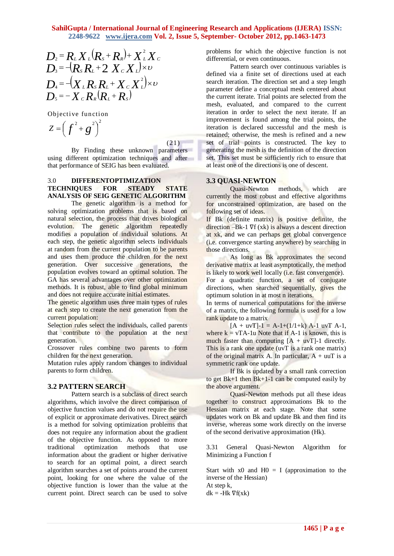$$
D_2 = R_L X_L (R_s + R_s) + X_L^2 X_C
$$
  
\n
$$
D_3 = -(R_s R_L + 2 X_c X_L) \times \nu
$$
  
\n
$$
D_4 = -(X_L R_s R_L + X_c X_L^2) \times \nu
$$
  
\n
$$
D_5 = -X_c R_s (R_L + R_s)
$$

Objective function

$$
Z = \left(f^2 + g^2\right)^2
$$

 $(21)$ 

By Finding these unknown parameters using different optimization techniques and after that performance of SEIG has been evaluated.

#### 3.0 **DIFFERENTOPTIMIZATION TECHNIQUES FOR STEADY STATE ANALYSIS OF SEIG GENETIC ALGORITHM**

The genetic algorithm is a method for solving optimization problems that is based on natural selection, the process that drives biological evolution. The genetic algorithm repeatedly modifies a population of individual solutions. At each step, the genetic algorithm selects individuals at random from the current population to be parents and uses them produce the children for the next generation. Over successive generations, the population evolves toward an optimal solution. The GA has several advantages over other optimization methods. It is robust, able to find global minimum and does not require accurate initial estimates.

The genetic algorithm uses three main types of rules at each step to create the next generation from the current population:

Selection rules select the individuals, called parents that contribute to the population at the next generation.

Crossover rules combine two parents to form children for the next generation.

Mutation rules apply random changes to individual parents to form children.

#### **3.2 PATTERN SEARCH**

**146**  $P_k = R_k \times (R_k + R_k) + \chi^2(\chi^2)$  the process of write the degree of periodic of the energy of the state of the degree of the degree of the state of the state of the state of the state of the state of the state of the stat Pattern search is a subclass of direct search algorithms, which involve the direct comparison of objective function values and do not require the use of explicit or approximate derivatives. Direct search is a method for solving optimization problems that does not require any information about the gradient of the objective function. As opposed to more traditional optimization methods that use information about the gradient or higher derivative to search for an optimal point, a direct search algorithm searches a set of points around the current point, looking for one where the value of the objective function is lower than the value at the current point. Direct search can be used to solve

problems for which the objective function is not differential, or even continuous.

Pattern search over continuous variables is defined via a finite set of directions used at each search iteration. The direction set and a step length parameter define a conceptual mesh centered about the current iterate. Trial points are selected from the mesh, evaluated, and compared to the current iteration in order to select the next iterate. If an improvement is found among the trial points, the iteration is declared successful and the mesh is retained; otherwise, the mesh is refined and a new set of trial points is constructed. The key to generating the mesh is the definition of the direction set. This set must be sufficiently rich to ensure that at least one of the directions is one of descent.

#### **3.3 QUASI-NEWTON**

Quasi-Newton methods, which are currently the most robust and effective algorithms for unconstrained optimization, are based on the following set of ideas.

If Bk (definite matrix) is positive definite, the direction –Bk-1  $\nabla f$  (xk) is always a descent direction at xk, and we can perhaps get global convergence (i.e. convergence starting anywhere) by searching in those directions.

As long as Bk approximates the second derivative matrix at least asymptotically, the method is likely to work well locally (i.e. fast convergence).

For a quadratic function, a set of conjugate directions, when searched sequentially, gives the optimum solution in at most n iterations.

In terms of numerical computations for the inverse of a matrix, the following formula is used for a low rank update to a matrix

 $[A + uvT]-1 = A-1+(1/1+k) A-1 uvT A-1,$ where  $k = vTA-1u$  Note that if A-1 is known, this is much faster than computing  $[A + uvT]-1$  directly. This is a rank one update (uvT is a rank one matrix) of the original matrix A. In particular,  $A + uuT$  is a symmetric rank one update.

If Bk is updated by a small rank correction to get  $Bk+1$  then  $Bk+1-1$  can be computed easily by the above argument.

Quasi-Newton methods put all these ideas together to construct approximations Bk to the Hessian matrix at each stage. Note that some updates work on Bk and update Bk and then find its inverse, whereas some work directly on the inverse of the second derivative approximation (Hk).

3.31 General Quasi-Newton Algorithm for Minimizing a Function f

Start with  $x0$  and  $H0 = I$  (approximation to the inverse of the Hessian) At step k,  $dk = -Hk \nabla f(xk)$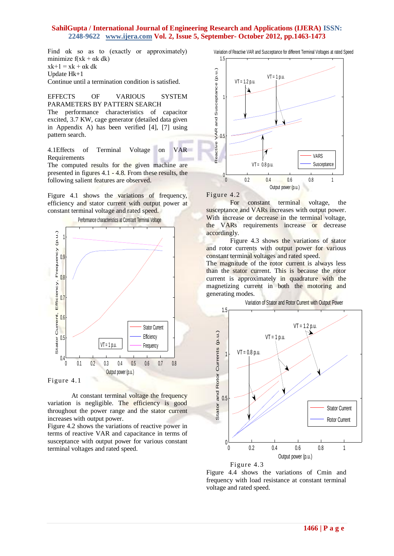Find  $\alpha$ k so as to (exactly or approximately) minimize  $f(xk + \alpha k)$  $xk+1 = xk + \alpha k$  dk Update Hk+1 Continue until a termination condition is satisfied.

EFFECTS OF VARIOUS SYSTEM PARAMETERS BY PATTERN SEARCH The performance characteristics of capacitor excited, 3.7 KW, cage generator (detailed data given in Appendix A) has been verified [4], [7] using

4.1Effects of Terminal Voltage on VAR Requirements The computed results for the given machine are presented in figures 4.1 - 4.8. From these results, the

Figure 4.1 shows the variations of frequency, efficiency and stator current with output power at constant terminal voltage and rated speed.

following salient features are observed.



Figure 4.1

pattern search.

At constant terminal voltage the frequency variation is negligible. The efficiency is good throughout the power range and the stator current increases with output power.

Figure 4.2 shows the variations of reactive power in terms of reactive VAR and capacitance in terms of susceptance with output power for various constant terminal voltages and rated speed.

Variation of Reactive VAR and Susceptance for different Terminal Voltages at rated Speed



Figure 4.2

For constant terminal voltage, the susceptance and VARs increases with output power. With increase or decrease in the terminal voltage, the VARs requirements increase or decrease accordingly.

Figure 4.3 shows the variations of stator and rotor currents with output power for various constant terminal voltages and rated speed.

The magnitude of the rotor current is always less than the stator current. This is because the rotor current is approximately in quadrature with the magnetizing current in both the motoring and generating modes.

Variation of Stator and Rotor Current with Output Power





Figure 4.4 shows the variations of Cmin and frequency with load resistance at constant terminal voltage and rated speed.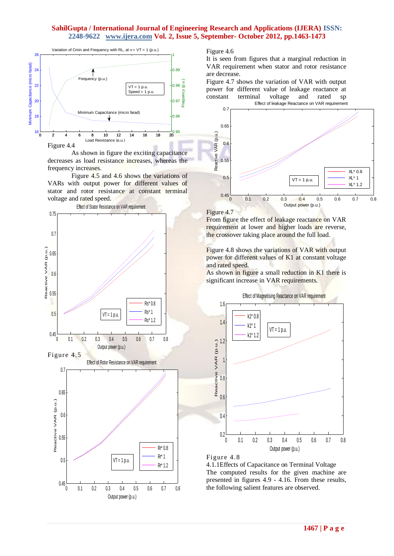

As shown in figure the exciting capacitance decreases as load resistance increases, whereas the frequency increases.

Figure 4.5 and 4.6 shows the variations of VARs with output power for different values of stator and rotor resistance at constant terminal voltage and rated speed.



Figure 4.6

It is seen from figures that a marginal reduction in VAR requirement when stator and rotor resistance are decrease.

Figure 4.7 shows the variation of VAR with output power for different value of leakage reactance at constant terminal voltage and rated sp



Figure 4.7

From figure the effect of leakage reactance on VAR requirement at lower and higher loads are reverse, the crossover taking place around the full load.

Figure 4.8 shows the variations of VAR with output power for different values of K1 at constant voltage and rated speed.

As shown in figure a small reduction in K1 there is significant increase in VAR requirements.



Figure 4.8

4.1.1Effects of Capacitance on Terminal Voltage The computed results for the given machine are presented in figures 4.9 - 4.16. From these results, the following salient features are observed.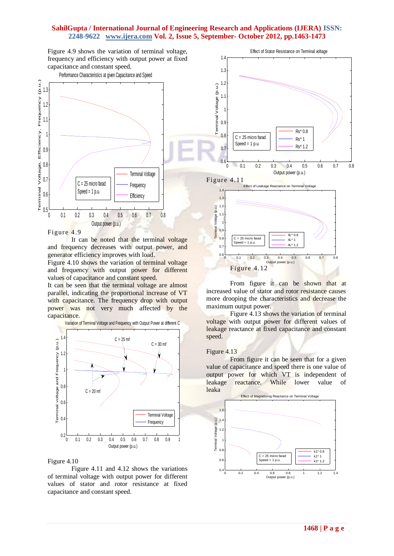Figure 4.9 shows the variation of terminal voltage, frequency and efficiency with output power at fixed capacitance and constant speed.



Figure 4.9

It can be noted that the terminal voltage and frequency decreases with output power, and generator efficiency improves with load.

Figure 4.10 shows the variation of terminal voltage and frequency with output power for different values of capacitance and constant speed.

It can be seen that the terminal voltage are almost parallel, indicating the proportional increase of VT with capacitance. The frequency drop with output power was not very much affected by the capacitance.



#### Figure 4.10

Figure 4.11 and 4.12 shows the variations of terminal voltage with output power for different values of stator and rotor resistance at fixed capacitance and constant speed.



From figure it can be shown that at increased value of stator and rotor resistance causes more drooping the characteristics and decrease the maximum output power.

Figure 4.13 shows the variation of terminal voltage with output power for different values of leakage reactance at fixed capacitance and constant speed.

#### Figure 4.13

From figure it can be seen that for a given value of capacitance and speed there is one value of output power for which VT is independent of leakage reactance. While lower value of leaka

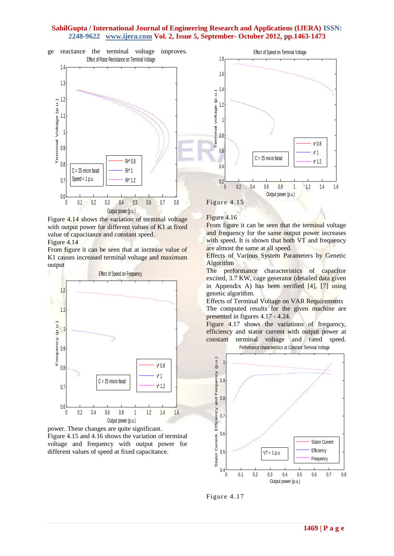

Figure 4.14 shows the variation of terminal voltage with output power for different values of K1 at fixed value of capacitance and constant speed. Figure 4.14

From figure it can be seen that at increase value of K<sub>1</sub> causes increased terminal voltage and maximum output







Figure 4.15

Figure 4.16

From figure it can be seen that the terminal voltage and frequency for the same output power increases with speed. It is shown that both VT and frequency are almost the same at all speed.

Effects of Various System Parameters by Genetic Algorithm

The performance characteristics of capacitor excited, 3.7 KW, cage generator (detailed data given in Appendix A) has been verified [4], [7] using genetic algorithm.

Effects of Terminal Voltage on VAR Requirements The computed results for the given machine are presented in figures 4.17 - 4.24.

Figure 4.17 shows the variations of frequency, efficiency and stator current with output power at constant terminal voltage and rated speed.



Figure 4.17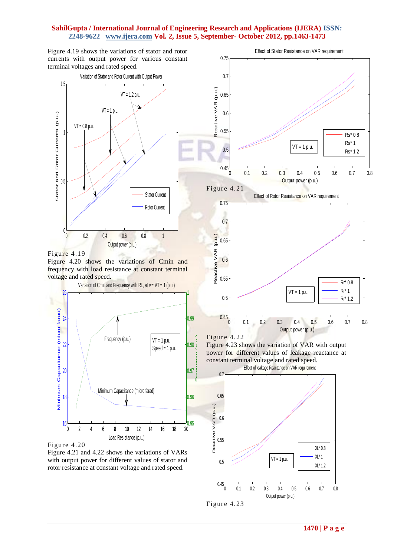Figure 4.19 shows the variations of stator and rotor currents with output power for various constant terminal voltages and rated speed.



Figure 4.19

Figure 4.20 shows the variations of Cmin and frequency with load resistance at constant terminal voltage and rated speed.



Figure 4.20

Figure 4.21 and 4.22 shows the variations of VARs with output power for different values of stator and rotor resistance at constant voltage and rated speed.



 XL\* 0.8  $X^*$  1 XL\* 1.2

0 0.1 0.2 0.3 0.4 0.5 0.6 0.7 0.8

Output power (p.u.)

 $VT = 1 p.u.$ 

Figure 4.23

 $0.45\frac{C}{0}$ 

0.5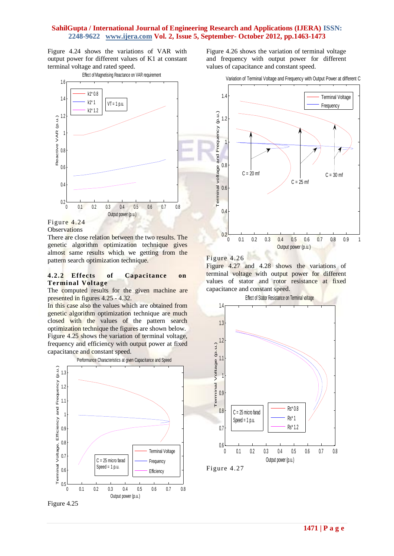Figure 4.24 shows the variations of VAR with output power for different values of K1 at constant terminal voltage and rated speed.



Figure 4.24

**Observations** 

There are close relation between the two results. The genetic algorithm optimization technique gives almost same results which we getting from the pattern search optimization technique.

#### **4.2.2 Effects of Capacitance on Terminal Voltage**

The computed results for the given machine are presented in figures 4.25 - 4.32.

In this case also the values which are obtained from genetic algorithm optimization technique are much closed with the values of the pattern search optimization technique the figures are shown below. Figure 4.25 shows the variation of terminal voltage, frequency and efficiency with output power at fixed capacitance and constant speed.



Figure 4.25

Figure 4.26 shows the variation of terminal voltage and frequency with output power for different values of capacitance and constant speed.

Variation of Terminal Voltage and Frequency with Output Power at different C



Figure 4.26

Figure 4.27 and 4.28 shows the variations of terminal voltage with output power for different values of stator and rotor resistance at fixed capacitance and constant speed.



Figure 4.27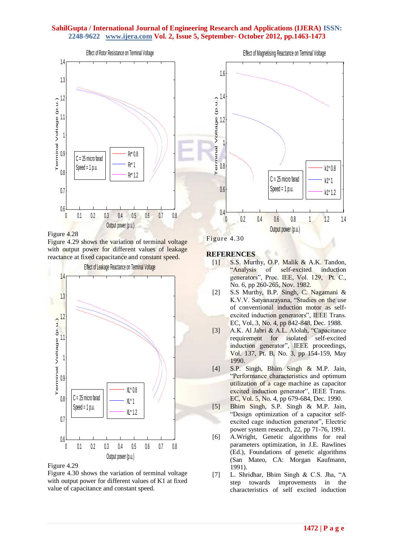

Figure 4.28

Figure 4.29 shows the variation of terminal voltage with output power for different values of leakage reactance at fixed capacitance and constant speed.



Figure 4.29

Figure 4.30 shows the variation of terminal voltage with output power for different values of K1 at fixed value of capacitance and constant speed.



Figure 4.30

#### **REFERENCES**

- [1] S.S. Murthy, O.P. Malik & A.K. Tandon, "Analysis of self-excited induction generators", Proc. IEE, Vol. 129, Pt. C., No. 6, pp 260-265, Nov. 1982.
- [2] S.S Murthy, B.P. Singh, C. Nagamani & K.V.V. Satyanarayana, "Studies on the use of conventional induction motor as selfexcited induction generators", IEEE Trans. EC, Vol. 3, No. 4, pp 842-848, Dec. 1988.
- [3] A.K. Al Jabri & A.L. Alolah, "Capacitance requirement for isolated self-excited induction generator", IEEE proceedings, Vol. 137, Pt. B, No. 3, pp 154-159, May 1990.
- [4] S.P. Singh, Bhim Singh & M.P. Jain, "Performance characteristics and optimum utilization of a cage machine as capacitor excited induction generator", IEEE Trans. EC, Vol. 5, No. 4, pp 679-684, Dec. 1990.
- [5] Bhim Singh, S.P. Singh & M.P. Jain, "Design optimization of a capacitor selfexcited cage induction generator", Electric power system research, 22, pp 71-76, 1991.
- [6] A.Wright, Genetic algorithms for real parameters optimization, in J.E. Rawlines (Ed.), Foundations of genetic algorithms (San Mateo, CA: Morgan Kaufmann, 1991).
- [7] L. Shridhar, Bhim Singh & C.S. Jha, "A step towards improvements in the characteristics of self excited induction